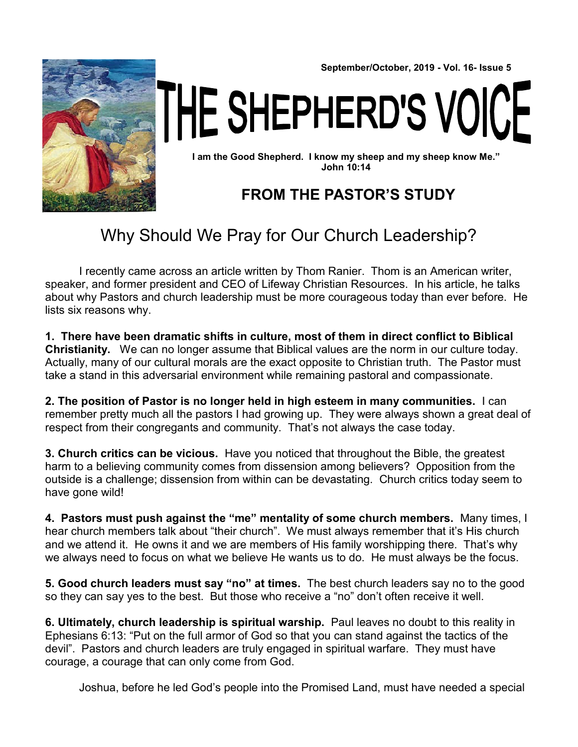

**September/October, 2019 - Vol. 16- Issue 5**

THE SHEPHERD'S VOICE

**I am the Good Shepherd. I know my sheep and my sheep know Me." John 10:14**

#### **FROM THE PASTOR'S STUDY**

### Why Should We Pray for Our Church Leadership?

I recently came across an article written by Thom Ranier. Thom is an American writer, speaker, and former president and CEO of Lifeway Christian Resources. In his article, he talks about why Pastors and church leadership must be more courageous today than ever before. He lists six reasons why.

**1. There have been dramatic shifts in culture, most of them in direct conflict to Biblical Christianity.** We can no longer assume that Biblical values are the norm in our culture today. Actually, many of our cultural morals are the exact opposite to Christian truth. The Pastor must take a stand in this adversarial environment while remaining pastoral and compassionate.

**2. The position of Pastor is no longer held in high esteem in many communities.** I can remember pretty much all the pastors I had growing up. They were always shown a great deal of respect from their congregants and community. That's not always the case today.

**3. Church critics can be vicious.** Have you noticed that throughout the Bible, the greatest harm to a believing community comes from dissension among believers? Opposition from the outside is a challenge; dissension from within can be devastating. Church critics today seem to have gone wild!

**4. Pastors must push against the "me" mentality of some church members.** Many times, I hear church members talk about "their church". We must always remember that it's His church and we attend it. He owns it and we are members of His family worshipping there. That's why we always need to focus on what we believe He wants us to do. He must always be the focus.

**5. Good church leaders must say "no" at times.** The best church leaders say no to the good so they can say yes to the best. But those who receive a "no" don't often receive it well.

**6. Ultimately, church leadership is spiritual warship.** Paul leaves no doubt to this reality in Ephesians 6:13: "Put on the full armor of God so that you can stand against the tactics of the devil". Pastors and church leaders are truly engaged in spiritual warfare. They must have courage, a courage that can only come from God.

Joshua, before he led God's people into the Promised Land, must have needed a special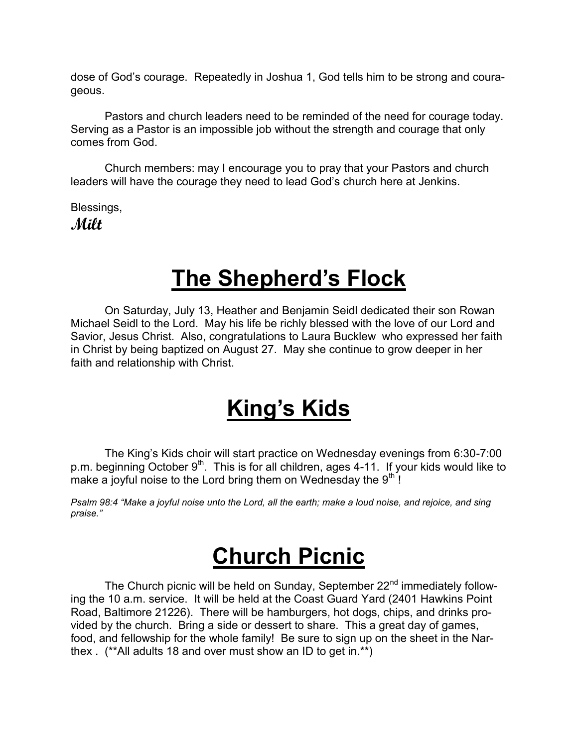dose of God's courage. Repeatedly in Joshua 1, God tells him to be strong and courageous.

Pastors and church leaders need to be reminded of the need for courage today. Serving as a Pastor is an impossible job without the strength and courage that only comes from God.

Church members: may I encourage you to pray that your Pastors and church leaders will have the courage they need to lead God's church here at Jenkins.

Blessings, **Milt**

## **The Shepherd's Flock**

On Saturday, July 13, Heather and Benjamin Seidl dedicated their son Rowan Michael Seidl to the Lord. May his life be richly blessed with the love of our Lord and Savior, Jesus Christ. Also, congratulations to Laura Bucklew who expressed her faith in Christ by being baptized on August 27. May she continue to grow deeper in her faith and relationship with Christ.

### **King's Kids**

The King's Kids choir will start practice on Wednesday evenings from 6:30-7:00 p.m. beginning October 9<sup>th</sup>. This is for all children, ages 4-11. If your kids would like to make a joyful noise to the Lord bring them on Wednesday the  $9<sup>th</sup>$ !

*Psalm 98:4 "Make a joyful noise unto the Lord, all the earth; make a loud noise, and rejoice, and sing praise."*

### **Church Picnic**

The Church picnic will be held on Sunday, September 22<sup>nd</sup> immediately following the 10 a.m. service. It will be held at the Coast Guard Yard (2401 Hawkins Point Road, Baltimore 21226). There will be hamburgers, hot dogs, chips, and drinks provided by the church. Bring a side or dessert to share. This a great day of games, food, and fellowship for the whole family! Be sure to sign up on the sheet in the Narthex . (\*\*All adults 18 and over must show an ID to get in.\*\*)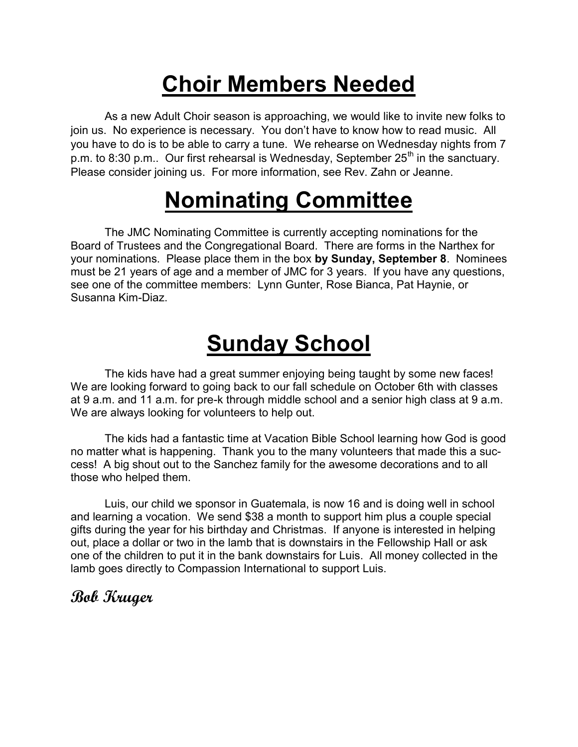# **Choir Members Needed**

As a new Adult Choir season is approaching, we would like to invite new folks to join us. No experience is necessary. You don't have to know how to read music. All you have to do is to be able to carry a tune. We rehearse on Wednesday nights from 7 p.m. to 8:30 p.m.. Our first rehearsal is Wednesday, September  $25<sup>th</sup>$  in the sanctuary. Please consider joining us. For more information, see Rev. Zahn or Jeanne.

# **Nominating Committee**

The JMC Nominating Committee is currently accepting nominations for the Board of Trustees and the Congregational Board. There are forms in the Narthex for your nominations. Please place them in the box **by Sunday, September 8**. Nominees must be 21 years of age and a member of JMC for 3 years. If you have any questions, see one of the committee members: Lynn Gunter, Rose Bianca, Pat Haynie, or Susanna Kim-Diaz.

# **Sunday School**

The kids have had a great summer enjoying being taught by some new faces! We are looking forward to going back to our fall schedule on October 6th with classes at 9 a.m. and 11 a.m. for pre-k through middle school and a senior high class at 9 a.m. We are always looking for volunteers to help out.

The kids had a fantastic time at Vacation Bible School learning how God is good no matter what is happening. Thank you to the many volunteers that made this a success! A big shout out to the Sanchez family for the awesome decorations and to all those who helped them.

Luis, our child we sponsor in Guatemala, is now 16 and is doing well in school and learning a vocation. We send \$38 a month to support him plus a couple special gifts during the year for his birthday and Christmas. If anyone is interested in helping out, place a dollar or two in the lamb that is downstairs in the Fellowship Hall or ask one of the children to put it in the bank downstairs for Luis. All money collected in the lamb goes directly to Compassion International to support Luis.

#### **Bob Kruger**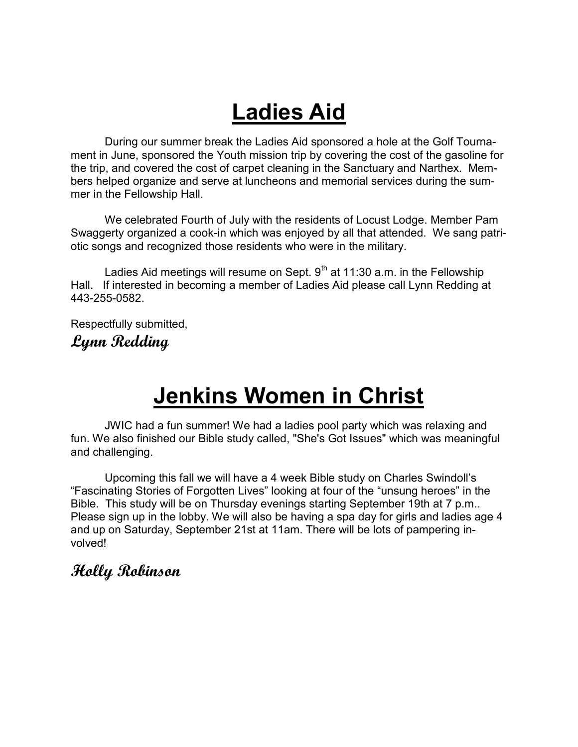# **Ladies Aid**

During our summer break the Ladies Aid sponsored a hole at the Golf Tournament in June, sponsored the Youth mission trip by covering the cost of the gasoline for the trip, and covered the cost of carpet cleaning in the Sanctuary and Narthex. Members helped organize and serve at luncheons and memorial services during the summer in the Fellowship Hall.

We celebrated Fourth of July with the residents of Locust Lodge. Member Pam Swaggerty organized a cook-in which was enjoyed by all that attended. We sang patriotic songs and recognized those residents who were in the military.

Ladies Aid meetings will resume on Sept.  $9<sup>th</sup>$  at 11:30 a.m. in the Fellowship Hall. If interested in becoming a member of Ladies Aid please call Lynn Redding at 443-255-0582.

Respectfully submitted, **Lynn Redding**

### **Jenkins Women in Christ**

JWIC had a fun summer! We had a ladies pool party which was relaxing and fun. We also finished our Bible study called, "She's Got Issues" which was meaningful and challenging.

Upcoming this fall we will have a 4 week Bible study on Charles Swindoll's "Fascinating Stories of Forgotten Lives" looking at four of the "unsung heroes" in the Bible. This study will be on Thursday evenings starting September 19th at 7 p.m.. Please sign up in the lobby. We will also be having a spa day for girls and ladies age 4 and up on Saturday, September 21st at 11am. There will be lots of pampering involved!

#### **Holly Robinson**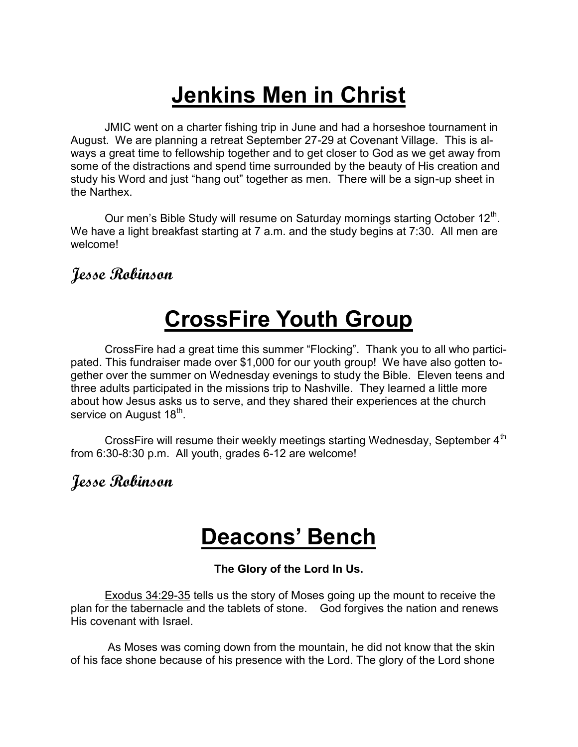# **Jenkins Men in Christ**

JMIC went on a charter fishing trip in June and had a horseshoe tournament in August. We are planning a retreat September 27-29 at Covenant Village. This is always a great time to fellowship together and to get closer to God as we get away from some of the distractions and spend time surrounded by the beauty of His creation and study his Word and just "hang out" together as men. There will be a sign-up sheet in the Narthex.

Our men's Bible Study will resume on Saturday mornings starting October  $12<sup>th</sup>$ . We have a light breakfast starting at 7 a.m. and the study begins at 7:30. All men are welcome!

#### **Jesse Robinson**

# **CrossFire Youth Group**

CrossFire had a great time this summer "Flocking". Thank you to all who participated. This fundraiser made over \$1,000 for our youth group! We have also gotten together over the summer on Wednesday evenings to study the Bible. Eleven teens and three adults participated in the missions trip to Nashville. They learned a little more about how Jesus asks us to serve, and they shared their experiences at the church service on August 18<sup>th</sup>.

CrossFire will resume their weekly meetings starting Wednesday, September 4<sup>th</sup> from 6:30-8:30 p.m. All youth, grades 6-12 are welcome!

#### **Jesse Robinson**

### **Deacons' Bench**

#### **The Glory of the Lord In Us.**

Exodus 34:29-35 tells us the story of Moses going up the mount to receive the plan for the tabernacle and the tablets of stone. God forgives the nation and renews His covenant with Israel.

As Moses was coming down from the mountain, he did not know that the skin of his face shone because of his presence with the Lord. The glory of the Lord shone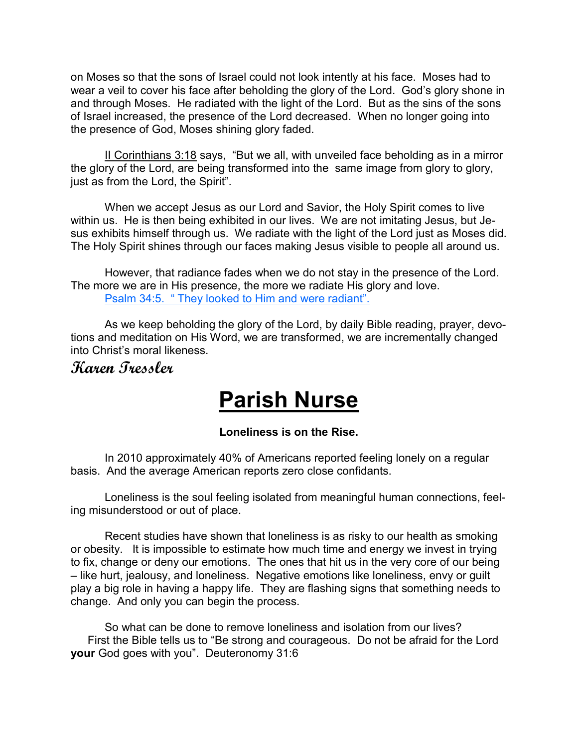on Moses so that the sons of Israel could not look intently at his face. Moses had to wear a veil to cover his face after beholding the glory of the Lord. God's glory shone in and through Moses. He radiated with the light of the Lord. But as the sins of the sons of Israel increased, the presence of the Lord decreased. When no longer going into the presence of God, Moses shining glory faded.

II Corinthians 3:18 says, "But we all, with unveiled face beholding as in a mirror the glory of the Lord, are being transformed into the same image from glory to glory, just as from the Lord, the Spirit".

When we accept Jesus as our Lord and Savior, the Holy Spirit comes to live within us. He is then being exhibited in our lives. We are not imitating Jesus, but Jesus exhibits himself through us. We radiate with the light of the Lord just as Moses did. The Holy Spirit shines through our faces making Jesus visible to people all around us.

However, that radiance fades when we do not stay in the presence of the Lord. The more we are in His presence, the more we radiate His glory and love. Psalm 34:5. " They looked to Him and were radiant".

As we keep beholding the glory of the Lord, by daily Bible reading, prayer, devotions and meditation on His Word, we are transformed, we are incrementally changed into Christ's moral likeness.

#### **Karen Tressler**

### **Parish Nurse**

#### **Loneliness is on the Rise.**

In 2010 approximately 40% of Americans reported feeling lonely on a regular basis. And the average American reports zero close confidants.

Loneliness is the soul feeling isolated from meaningful human connections, feeling misunderstood or out of place.

Recent studies have shown that loneliness is as risky to our health as smoking or obesity. It is impossible to estimate how much time and energy we invest in trying to fix, change or deny our emotions. The ones that hit us in the very core of our being – like hurt, jealousy, and loneliness. Negative emotions like loneliness, envy or guilt play a big role in having a happy life. They are flashing signs that something needs to change. And only you can begin the process.

So what can be done to remove loneliness and isolation from our lives? First the Bible tells us to "Be strong and courageous. Do not be afraid for the Lord **your** God goes with you". Deuteronomy 31:6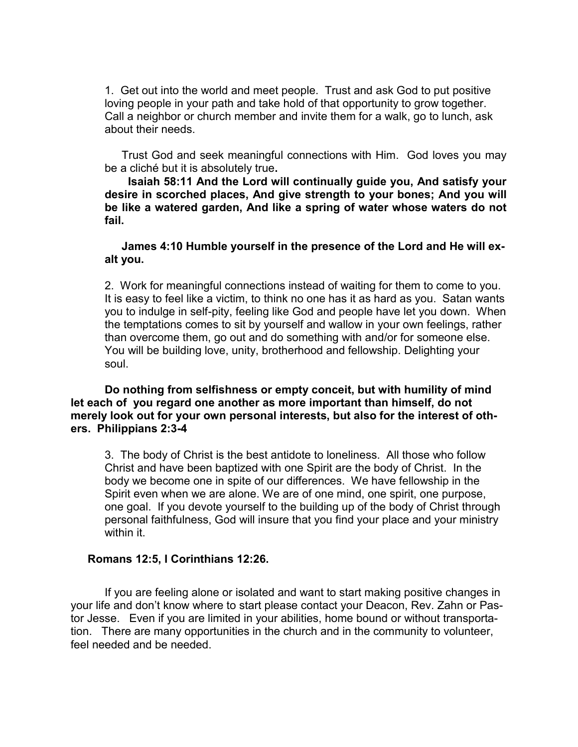1. Get out into the world and meet people. Trust and ask God to put positive loving people in your path and take hold of that opportunity to grow together. Call a neighbor or church member and invite them for a walk, go to lunch, ask about their needs.

Trust God and seek meaningful connections with Him. God loves you may be a cliché but it is absolutely true**.**

 **Isaiah 58:11 And the Lord will continually guide you, And satisfy your desire in scorched places, And give strength to your bones; And you will be like a watered garden, And like a spring of water whose waters do not fail.**

#### **James 4:10 Humble yourself in the presence of the Lord and He will exalt you.**

2. Work for meaningful connections instead of waiting for them to come to you. It is easy to feel like a victim, to think no one has it as hard as you. Satan wants you to indulge in self-pity, feeling like God and people have let you down. When the temptations comes to sit by yourself and wallow in your own feelings, rather than overcome them, go out and do something with and/or for someone else. You will be building love, unity, brotherhood and fellowship. Delighting your soul.

#### **Do nothing from selfishness or empty conceit, but with humility of mind let each of you regard one another as more important than himself, do not merely look out for your own personal interests, but also for the interest of others. Philippians 2:3-4**

3. The body of Christ is the best antidote to loneliness. All those who follow Christ and have been baptized with one Spirit are the body of Christ. In the body we become one in spite of our differences. We have fellowship in the Spirit even when we are alone. We are of one mind, one spirit, one purpose, one goal. If you devote yourself to the building up of the body of Christ through personal faithfulness, God will insure that you find your place and your ministry within it.

#### **Romans 12:5, I Corinthians 12:26.**

If you are feeling alone or isolated and want to start making positive changes in your life and don't know where to start please contact your Deacon, Rev. Zahn or Pastor Jesse. Even if you are limited in your abilities, home bound or without transportation. There are many opportunities in the church and in the community to volunteer, feel needed and be needed.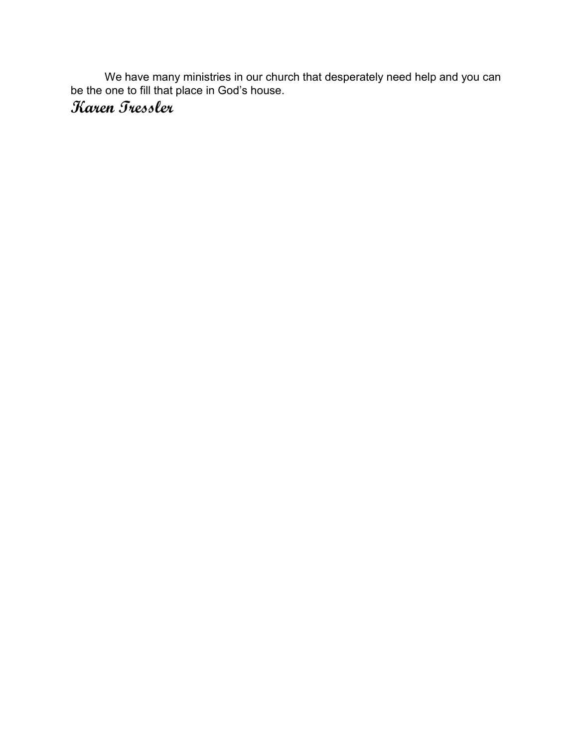We have many ministries in our church that desperately need help and you can be the one to fill that place in God's house.

#### **Karen Tressler**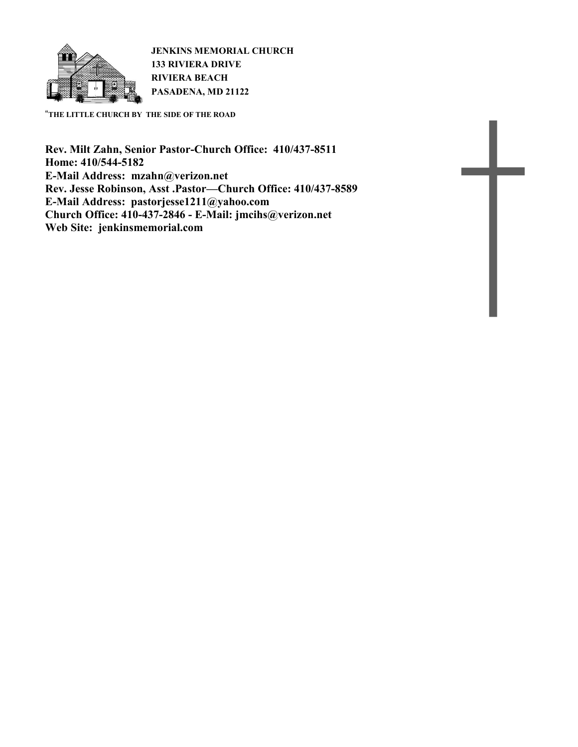

**JENKINS MEMORIAL CHURCH 133 RIVIERA DRIVE RIVIERA BEACH PASADENA, MD 21122**

"**THE LITTLE CHURCH BY THE SIDE OF THE ROAD**

**Rev. Milt Zahn, Senior Pastor-Church Office: 410/437-8511 Home: 410/544-5182 E-Mail Address: mzahn@verizon.net Rev. Jesse Robinson, Asst .Pastor—Church Office: 410/437-8589 E-Mail Address: pastorjesse1211@yahoo.com Church Office: 410-437-2846 - E-Mail: jmcihs@verizon.net Web Site: jenkinsmemorial.com**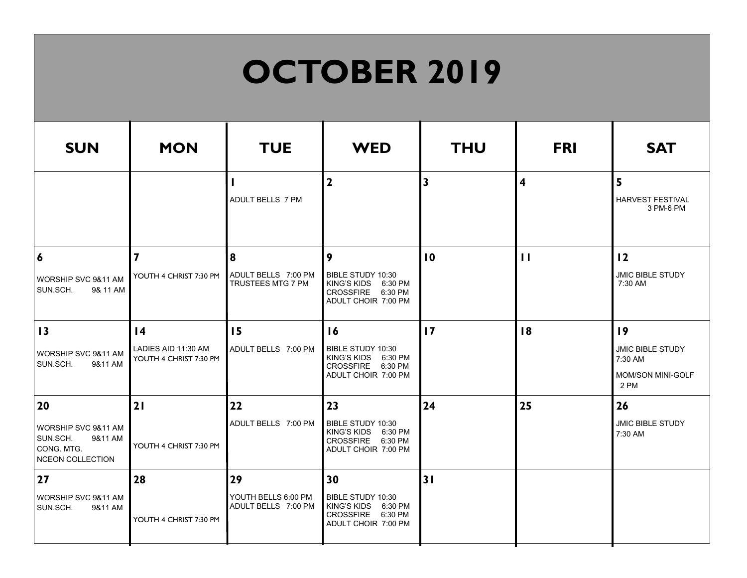# **OCTOBER 2019**

| <b>SUN</b>                                                                   | <b>MON</b>                                    | <b>TUE</b>                                 | <b>WED</b>                                                                                            | <b>THU</b>              | <b>FRI</b>              | <b>SAT</b>                                                             |
|------------------------------------------------------------------------------|-----------------------------------------------|--------------------------------------------|-------------------------------------------------------------------------------------------------------|-------------------------|-------------------------|------------------------------------------------------------------------|
|                                                                              |                                               | ADULT BELLS 7 PM                           | $\mathbf{2}$                                                                                          | $\overline{\mathbf{3}}$ | $\overline{\mathbf{4}}$ | 5<br><b>HARVEST FESTIVAL</b><br>3 PM-6 PM                              |
| $\boldsymbol{6}$                                                             | $\overline{\mathbf{z}}$                       | 8                                          | 9                                                                                                     | $\overline{10}$         | $\mathbf{1}$            | 12                                                                     |
| WORSHIP SVC 9&11 AM<br>SUN.SCH.<br>9& 11 AM                                  | YOUTH 4 CHRIST 7:30 PM                        | ADULT BELLS 7:00 PM<br>TRUSTEES MTG 7 PM   | <b>BIBLE STUDY 10:30</b><br><b>KING'S KIDS</b><br>6:30 PM<br>CROSSFIRE 6:30 PM<br>ADULT CHOIR 7:00 PM |                         |                         | <b>JMIC BIBLE STUDY</b><br>7:30 AM                                     |
| 13                                                                           | $\overline{14}$                               | 15                                         | 16                                                                                                    | $\overline{17}$         | 18                      | 19                                                                     |
| WORSHIP SVC 9&11 AM<br>SUN.SCH.<br>9&11 AM                                   | LADIES AID 11:30 AM<br>YOUTH 4 CHRIST 7:30 PM | ADULT BELLS 7:00 PM                        | <b>BIBLE STUDY 10:30</b><br>KING'S KIDS 6:30 PM<br>CROSSFIRE 6:30 PM<br>ADULT CHOIR 7:00 PM           |                         |                         | <b>JMIC BIBLE STUDY</b><br>7:30 AM<br><b>MOM/SON MINI-GOLF</b><br>2 PM |
| 20                                                                           | 2                                             | 22                                         | 23                                                                                                    | 24                      | 25                      | 26                                                                     |
| WORSHIP SVC 9&11 AM<br>SUN.SCH.<br>9&11 AM<br>CONG. MTG.<br>NCEON COLLECTION | YOUTH 4 CHRIST 7:30 PM                        | ADULT BELLS 7:00 PM                        | BIBLE STUDY 10:30<br>KING'S KIDS 6:30 PM<br>CROSSFIRE 6:30 PM<br>ADULT CHOIR 7:00 PM                  |                         |                         | <b>JMIC BIBLE STUDY</b><br>7:30 AM                                     |
| 27                                                                           | 28                                            | 29                                         | 30                                                                                                    | 31                      |                         |                                                                        |
| WORSHIP SVC 9&11 AM<br>SUN.SCH.<br>9&11 AM                                   | YOUTH 4 CHRIST 7:30 PM                        | YOUTH BELLS 6:00 PM<br>ADULT BELLS 7:00 PM | BIBLE STUDY 10:30<br><b>KING'S KIDS</b><br>6:30 PM<br>CROSSFIRE 6:30 PM<br>ADULT CHOIR 7:00 PM        |                         |                         |                                                                        |